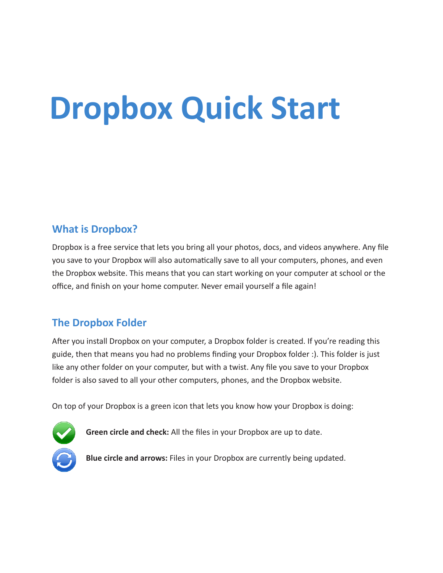# **Dropbox Quick Start**

## **What is Dropbox?**

Dropbox is a free service that lets you bring all your photos, docs, and videos anywhere. Any file you save to your Dropbox will also automatically save to all your computers, phones, and even the Dropbox website. This means that you can start working on your computer at school or the office, and finish on your home computer. Never email yourself a file again!

## **The Dropbox Folder**

After you install Dropbox on your computer, a Dropbox folder is created. If you're reading this guide, then that means you had no problems finding your Dropbox folder :). This folder is just like any other folder on your computer, but with a twist. Any file you save to your Dropbox folder is also saved to all your other computers, phones, and the Dropbox website.

On top of your Dropbox is a green icon that lets you know how your Dropbox is doing:



**Green circle and check:** All the files in your Dropbox are up to date.

**Blue circle and arrows:** Files in your Dropbox are currently being updated.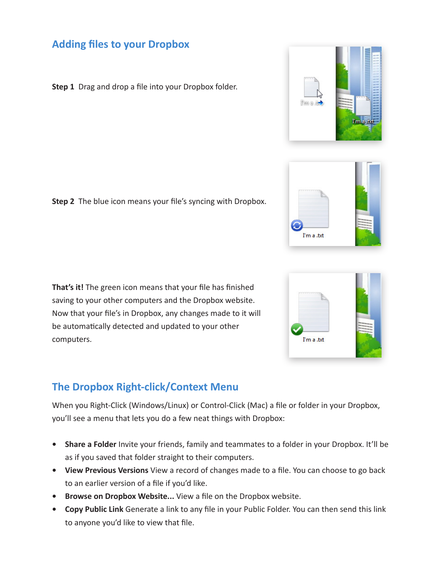## **Adding files to your Dropbox**

**Step 1** Drag and drop a file into your Dropbox folder.

**Step 2** The blue icon means your file's syncing with Dropbox.

**That's it!** The green icon means that your file has finished saving to your other computers and the Dropbox website. Now that your file's in Dropbox, any changes made to it will be automatically detected and updated to your other computers.

# **The Dropbox Right-click/Context Menu**

When you Right-Click (Windows/Linux) or Control-Click (Mac) a file or folder in your Dropbox, you'll see a menu that lets you do a few neat things with Dropbox:

- **• Share a Folder** Invite your friends, family and teammates to a folder in your Dropbox. It'll be as if you saved that folder straight to their computers.
- **• View Previous Versions** View a record of changes made to a file. You can choose to go back to an earlier version of a file if you'd like.
- **• Browse on Dropbox Website...** View a file on the Dropbox website.
- **• Copy Public Link** Generate a link to any file in your Public Folder. You can then send this link to anyone you'd like to view that file.



I'm a .txt

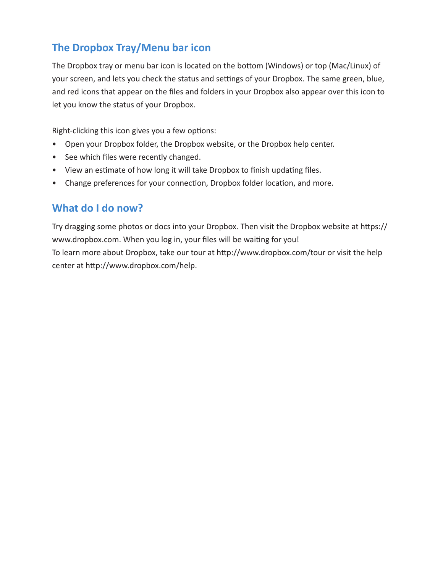## **The Dropbox Tray/Menu bar icon**

The Dropbox tray or menu bar icon is located on the bottom (Windows) or top (Mac/Linux) of your screen, and lets you check the status and settings of your Dropbox. The same green, blue, and red icons that appear on the files and folders in your Dropbox also appear over this icon to let you know the status of your Dropbox.

Right-clicking this icon gives you a few options:

- Open your Dropbox folder, the Dropbox website, or the Dropbox help center.
- See which files were recently changed.
- View an estimate of how long it will take Dropbox to finish updating files.
- Change preferences for your connection, Dropbox folder location, and more.

## **What do I do now?**

Try dragging some photos or docs into your Dropbox. Then visit the Dropbox website at https:// www.dropbox.com. When you log in, your files will be waiting for you! To learn more about Dropbox, take our tour at http://www.dropbox.com/tour or visit the help center at http://www.dropbox.com/help.